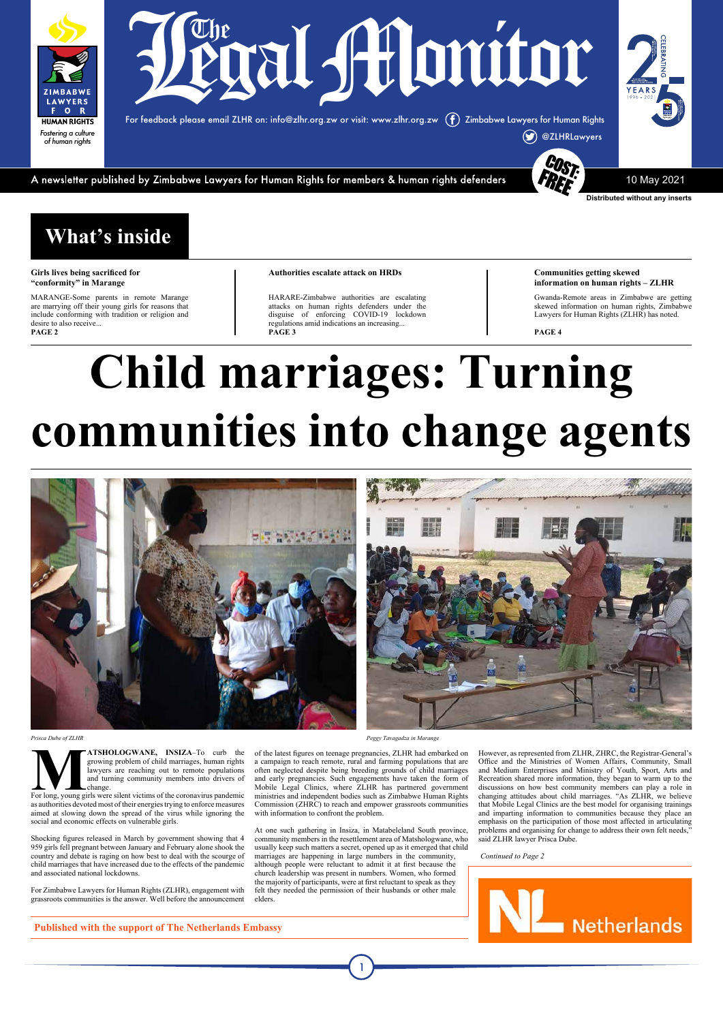**Communities getting skewed information on human rights – ZLHR**

Gwanda-Remote areas in Zimbabwe are getting skewed information on human rights, Zimbabwe Lawyers for Human Rights (ZLHR) has noted.

**PAGE 4**

#### **What's inside**

#### **Girls lives being sacrificed for "conformity" in Marange**

MARANGE-Some parents in remote Marange are marrying off their young girls for reasons that include conforming with tradition or religion and desire to also receive... **PAGE 2**

#### **Authorities escalate attack on HRDs**

**MATSHOLOGWANE, INSIZA**–To curb the growing problem of child marriages, human rights lawyers are reaching out to remote populations and turning community members into drivers of For long, young girls were silent victims of and turning community members into drivers of change.

HARARE-Zimbabwe authorities are escalating attacks on human rights defenders under the disguise of enforcing COVID-19 lockdown regulations amid indications an increasing... **PAGE 3**



**Distributed without any inserts**

For feedback please email ZLHR on: info@zlhr.org.zw or visit: www.zlhr.org.zw Zimbabwe Lawyers for Human Rights



A newsletter published by Zimbabwe Lawyers for Human Rights for members & human rights defenders

10 May 2021



# **Child marriages: Turning communities into change agents**



ire reaching out to remote populations

as authorities devoted most of their energies trying to enforce measures aimed at slowing down the spread of the virus while ignoring the social and economic effects on vulnerable girls.

Shocking figures released in March by government showing that 4 959 girls fell pregnant between January and February alone shook the country and debate is raging on how best to deal with the scourge of child marriages that have increased due to the effects of the pandemic and associated national lockdowns.

growing problem of child marriages, human rights a campaign to reach remote, rural and farming populations that are Office and the Ministries of Women Affairs, Community, Small of the latest figures on teenage pregnancies, ZLHR had embarked on However, as represented from ZLHR, ZHRC, the Registrar-General's often neglected despite being breeding grounds of child marriages and Medium Enterprises and Ministry of Youth, Sport, Arts and Recreation shared more information, they began to warm up to the discussions on how best community members can play a role in changing attitudes about child marriages. "As ZLHR, we believe that Mobile Legal Clinics are the best model for organising trainings and imparting information to communities because they place an emphasis on the participation of those most affected in articulating problems and organising for change to address their own felt needs,' said ZLHR lawyer Prisca Dube.

For Zimbabwe Lawyers for Human Rights (ZLHR), engagement with grassroots communities is the answer. Well before the announcement

and early pregnancies. Such engagements have taken the form of Mobile Legal Clinics, where ZLHR has partnered government ministries and independent bodies such as Zimbabwe Human Rights Commission (ZHRC) to reach and empower grassroots communities with information to confront the problem.

At one such gathering in Insiza, in Matabeleland South province, community members in the resettlement area of Matshologwane, who usually keep such matters a secret, opened up as it emerged that child marriages are happening in large numbers in the community, although people were reluctant to admit it at first because the church leadership was present in numbers. Women, who formed the majority of participants, were at first reluctant to speak as they felt they needed the permission of their husbands or other male elders.

*Continued to Page 2*



**Published with the support of The Netherlands Embassy**

*Prisca Dube of ZLHR Peggy Tavagadza in Marange*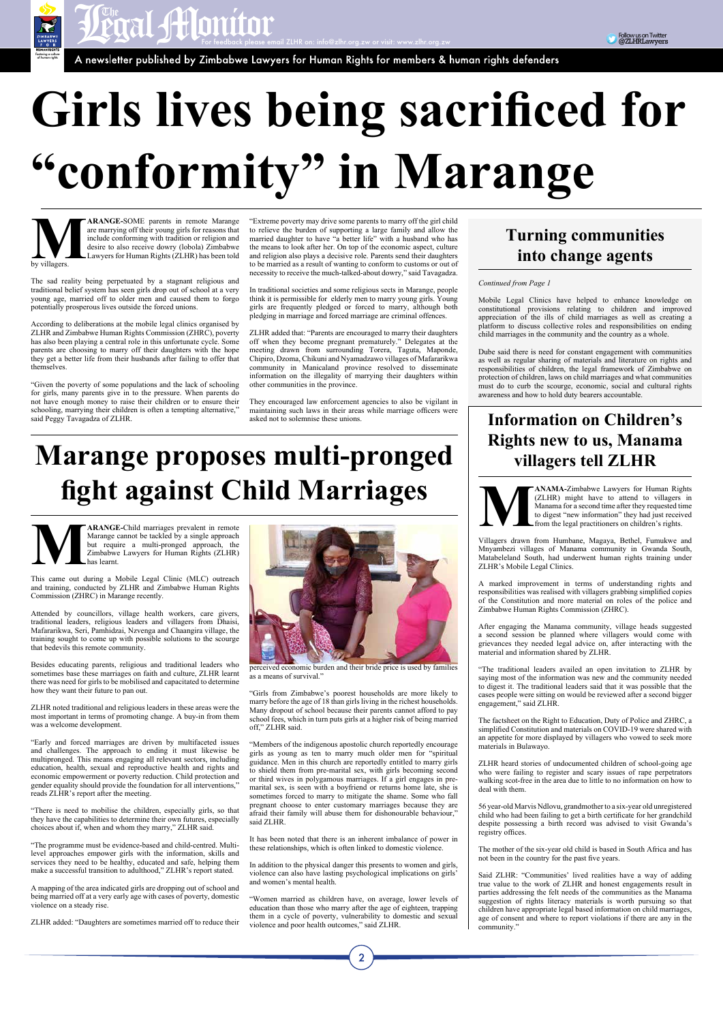

Follow us on Twitter @ZLHRLawyers

# **Girls lives being sacrificed for "conformity" in Marange**

**MARANGE-**SOME parents in remote Marange are marrying off their young girls for reasons that include conforming with tradition or religion and desire to also receive dowry (lobola) Zimbabwe Lawyers for Human Rights (ZLHR) are marrying off their young girls for reasons that include conforming with tradition or religion and desire to also receive dowry (lobola) Zimbabwe Lawyers for Human Rights (ZLHR) has been told by villagers.

The sad reality being perpetuated by a stagnant religious and traditional belief system has seen girls drop out of school at a very young age, married off to older men and caused them to forgo potentially prosperous lives outside the forced unions.

According to deliberations at the mobile legal clinics organised by ZLHR and Zimbabwe Human Rights Commission (ZHRC), poverty has also been playing a central role in this unfortunate cycle. Some parents are choosing to marry off their daughters with the hope they get a better life from their husbands after failing to offer that themselves.

"Given the poverty of some populations and the lack of schooling for girls, many parents give in to the pressure. When parents do not have enough money to raise their children or to ensure their

#### asked not to solemnise these unions. **Information on Children's Rights new to us, Manama villagers tell ZLHR**



**MANAMA-Zimbabwe Lawyers for Human Rights**<br>
(ZLHR) might have to attend to villagers in<br>
Manama for a second time after they requested time<br>
to digest "new information" they had just received<br>
from the legal practitioners (ZLHR) might have to attend to villagers in Manama for a second time after they requested time to digest "new information" they had just received from the legal practitioners on children's rights.

"Extreme poverty may drive some parents to marry off the girl child to relieve the burden of supporting a large family and allow the married daughter to have "a better life" with a husband who has the means to look after her. On top of the economic aspect, culture and religion also plays a decisive role. Parents send their daughters to be married as a result of wanting to conform to customs or out of necessity to receive the much-talked-about dowry," said Tavagadza.

In traditional societies and some religious sects in Marange, people think it is permissible for elderly men to marry young girls. Young girls are frequently pledged or forced to marry, although both pledging in marriage and forced marriage are criminal offences.

ZLHR added that: "Parents are encouraged to marry their daughters off when they become pregnant prematurely." Delegates at the meeting drawn from surrounding Torera, Taguta, Maponde, Chipiro, Dzoma, Chikuni and Nyamadzawo villages of Mafararikwa community in Manicaland province resolved to disseminate information on the illegality of marrying their daughters within other communities in the province.

> Said ZLHR: "Communities' lived realities have a way of adding true value to the work of ZLHR and honest engagements result in parties addressing the felt needs of the communities as the Manama suggestion of rights literacy materials is worth pursuing so that children have appropriate legal based information on child marriages, age of consent and where to report violations if there are any in the community.'

They encouraged law enforcement agencies to also be vigilant in maintaining such laws in their areas while marriage officers were

**MARANGE-Child marriages prevalent in remote**<br>Marange cannot be tackled by a single approach<br>but require a multi-pronged approach, the<br>Zimbabwe Lawyers for Human Rights (ZLHR) Marange cannot be tackled by a single approach but require a multi-pronged approach, the Zimbabwe Lawyers for Human Rights (ZLHR) has learnt.

Villagers drawn from Humbane, Magaya, Bethel, Fumukwe and Mnyambezi villages of Manama community in Gwanda South, Matabeleland South, had underwent human rights training under ZLHR's Mobile Legal Clinics.

#### schooling, marrying their children is often a tempting alternative," said Peggy Tavagadza of ZLHR. **Marange proposes multi-pronged fight against Child Marriages**

A marked improvement in terms of understanding rights and responsibilities was realised with villagers grabbing simplified copies of the Constitution and more material on roles of the police and Zimbabwe Human Rights Commission (ZHRC).

After engaging the Manama community, village heads suggested a second session be planned where villagers would come with grievances they needed legal advice on, after interacting with the material and information shared by ZLHR.

"The traditional leaders availed an open invitation to ZLHR by saying most of the information was new and the community needed to digest it. The traditional leaders said that it was possible that the cases people were sitting on would be reviewed after a second bigger engagement," said ZLHR.

The factsheet on the Right to Education, Duty of Police and ZHRC, a simplified Constitution and materials on COVID-19 were shared with an appetite for more displayed by villagers who vowed to seek more materials in Bulawayo.

ZLHR heard stories of undocumented children of school-going age

who were failing to register and scary issues of rape perpetrators walking scot-free in the area due to little to no information on how to deal with them.

56 year-old Marvis Ndlovu, grandmother to a six-year old unregistered child who had been failing to get a birth certificate for her grandchild despite possessing a birth record was advised to visit Gwanda's registry offices.

The mother of the six-year old child is based in South Africa and has not been in the country for the past five years.

This came out during a Mobile Legal Clinic (MLC) outreach and training, conducted by ZLHR and Zimbabwe Human Rights Commission (ZHRC) in Marange recently.

Attended by councillors, village health workers, care givers, traditional leaders, religious leaders and villagers from Dhaisi, Mafararikwa, Seri, Pamhidzai, Nzvenga and Chaangira village, the training sought to come up with possible solutions to the scourge that bedevils this remote community.

Besides educating parents, religious and traditional leaders who sometimes base these marriages on faith and culture, ZLHR learnt there was need for girls to be mobilised and capacitated to determine how they want their future to pan out.

ZLHR noted traditional and religious leaders in these areas were the most important in terms of promoting change. A buy-in from them was a welcome development.

"Early and forced marriages are driven by multifaceted issues and challenges. The approach to ending it must likewise be multipronged. This means engaging all relevant sectors, including education, health, sexual and reproductive health and rights and

economic empowerment or poverty reduction. Child protection and gender equality should provide the foundation for all interventions," reads ZLHR's report after the meeting.

"There is need to mobilise the children, especially girls, so that they have the capabilities to determine their own futures, especially choices about if, when and whom they marry," ZLHR said.

"The programme must be evidence-based and child-centred. Multilevel approaches empower girls with the information, skills and services they need to be healthy, educated and safe, helping them make a successful transition to adulthood," ZLHR's report stated.

A mapping of the area indicated girls are dropping out of school and being married off at a very early age with cases of poverty, domestic violence on a steady rise.

ZLHR added: "Daughters are sometimes married off to reduce their



perceived economic burden and their bride price is used by families as a means of survival."

"Girls from Zimbabwe's poorest households are more likely to marry before the age of 18 than girls living in the richest households. Many dropout of school because their parents cannot afford to pay school fees, which in turn puts girls at a higher risk of being married off," ZLHR said.

"Members of the indigenous apostolic church reportedly encourage girls as young as ten to marry much older men for "spiritual guidance. Men in this church are reportedly entitled to marry girls to shield them from pre-marital sex, with girls becoming second or third wives in polygamous marriages. If a girl engages in premarital sex, is seen with a boyfriend or returns home late, she is sometimes forced to marry to mitigate the shame. Some who fall pregnant choose to enter customary marriages because they are afraid their family will abuse them for dishonourable behaviour," said ZLHR.

It has been noted that there is an inherent imbalance of power in these relationships, which is often linked to domestic violence.

In addition to the physical danger this presents to women and girls, violence can also have lasting psychological implications on girls' and women's mental health.

"Women married as children have, on average, lower levels of education than those who marry after the age of eighteen, trapping them in a cycle of poverty, vulnerability to domestic and sexual violence and poor health outcomes," said ZLHR.

 $\overline{2}$ 

#### *Continued from Page 1*

Mobile Legal Clinics have helped to enhance knowledge on constitutional provisions relating to children and improved appreciation of the ills of child marriages as well as creating a platform to discuss collective roles and responsibilities on ending child marriages in the community and the country as a whole.

Dube said there is need for constant engagement with communities as well as regular sharing of materials and literature on rights and responsibilities of children, the legal framework of Zimbabwe on protection of children, laws on child marriages and what communities must do to curb the scourge, economic, social and cultural rights awareness and how to hold duty bearers accountable.

#### **Turning communities into change agents**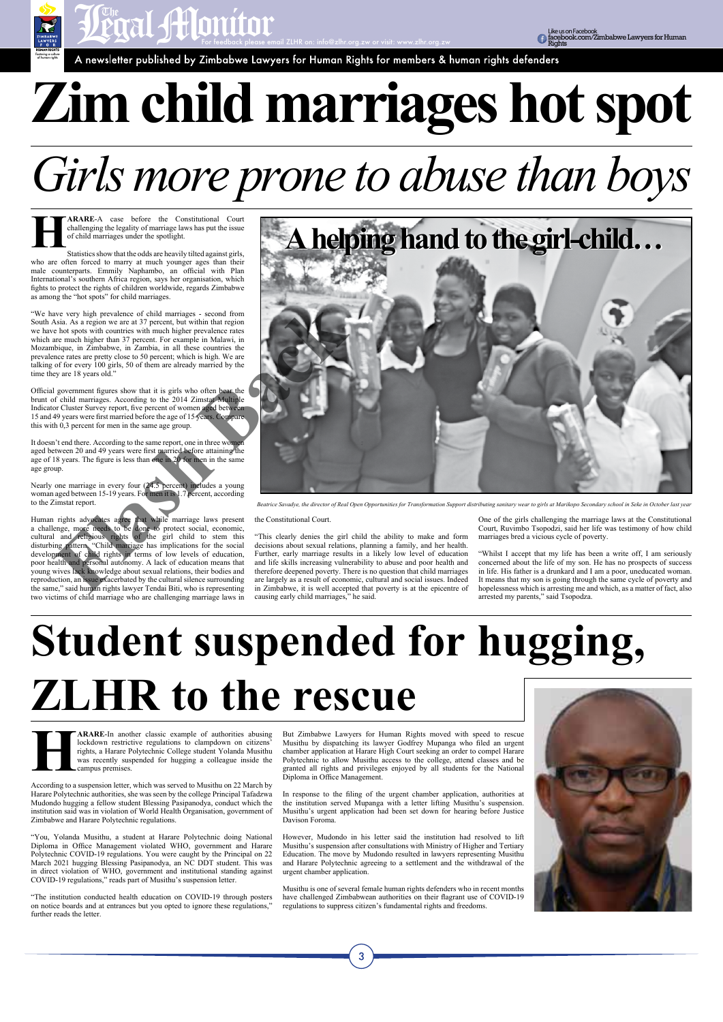**HARARE-A** case before the Constitutional Court challenging the legality of marriage laws has put the issue of child marriages under the spotlight.<br>Statistics show that the odds are heavily tilted against girls, challenging the legality of marriage laws has put the issue of child marriages under the spotlight.

Statistics show that the odds are heavily tilted against girls, who are often forced to marry at much younger ages than their male counterparts. Emmily Naphambo, an official with Plan International's southern Africa region, says her organisation, which fights to protect the rights of children worldwide, regards Zimbabwe as among the "hot spots" for child marriages.

"We have very high prevalence of child marriages - second from South Asia. As a region we are at 37 percent, but within that region we have hot spots with countries with much higher prevalence rates which are much higher than 37 percent. For example in Malawi, in Mozambique, in Zimbabwe, in Zambia, in all these countries the prevalence rates are pretty close to 50 percent; which is high. We are talking of for every 100 girls, 50 of them are already married by the time they are 18 years old."

Official government figures show that it is girls who often bear the brunt of child marriages. According to the 2014 Zimstat Multiple Indicator Cluster Survey report, five percent of women aged between 15 and 49 years were first married before the age of 15 years. Compare this with 0,3 percent for men in the same age group.

Human rights advocates agree that while marriage laws present a challenge, more needs to be done to protect social, economic, cultural and religious rights of the girl child to stem this disturbing pattern. "Child marriage has implications for the social development of child rights in terms of low levels of education, poor health and personal autonomy. A lack of education means that young wives lack knowledge about sexual relations, their bodies and reproduction, an issue exacerbated by the cultural silence surrounding the same," said human rights lawyer Tendai Biti, who is representing two victims of child marriage who are challenging marriage laws in

It doesn't end there. According to the same report, one in three women aged between 20 and 49 years were first married before attaining the age of 18 years. The figure is less than one in 20 for men in the same age group.

Nearly one marriage in every four (24.5 percent) includes a young woman aged between 15-19 years. For men it is 1.7 percent, according to the Zimstat report.

**HARARE-In another classic example of authorities abusing lockdown restrictive regulations to clampdown on citizens' rights, a Harare Polytechnic College student Yolanda Musithu was recently suspended for hugging a colleag** lockdown restrictive regulations to clampdown on citizens' rights, a Harare Polytechnic College student Yolanda Musithu was recently suspended for hugging a colleague inside the campus premises.

the Constitutional Court.

"This clearly denies the girl child the ability to make and form decisions about sexual relations, planning a family, and her health. Further, early marriage results in a likely low level of education and life skills increasing vulnerability to abuse and poor health and therefore deepened poverty. There is no question that child marriages are largely as a result of economic, cultural and social issues. Indeed in Zimbabwe, it is well accepted that poverty is at the epicentre of causing early child marriages," he said.

One of the girls challenging the marriage laws at the Constitutional Court, Ruvimbo Tsopodzi, said her life was testimony of how child marriages bred a vicious cycle of poverty.

"Whilst I accept that my life has been a write off, I am seriously concerned about the life of my son. He has no prospects of success in life. His father is a drunkard and I am a poor, uneducated woman. It means that my son is going through the same cycle of poverty and hopelessness which is arresting me and which, as a matter of fact, also arrested my parents," said Tsopodza.



# **Zim child marriages hot spot**

## **Student suspended for hugging, ZLHR to the rescue**

According to a suspension letter, which was served to Musithu on 22 March by Harare Polytechnic authorities, she was seen by the college Principal Tafadzwa Mudondo hugging a fellow student Blessing Pasipanodya, conduct which the institution said was in violation of World Health Organisation, government of Zimbabwe and Harare Polytechnic regulations.

"You, Yolanda Musithu, a student at Harare Polytechnic doing National Diploma in Office Management violated WHO, government and Harare Polytechnic COVID-19 regulations. You were caught by the Principal on 22 March 2021 hugging Blessing Pasipanodya, an NC DDT student. This was in direct violation of WHO, government and institutional standing against COVID-19 regulations," reads part of Musithu's suspension letter.

"The institution conducted health education on COVID-19 through posters on notice boards and at entrances but you opted to ignore these regulations," further reads the letter.

But Zimbabwe Lawyers for Human Rights moved with speed to rescue Musithu by dispatching its lawyer Godfrey Mupanga who filed an urgent chamber application at Harare High Court seeking an order to compel Harare Polytechnic to allow Musithu access to the college, attend classes and be granted all rights and privileges enjoyed by all students for the National Diploma in Office Management.



In response to the filing of the urgent chamber application, authorities at the institution served Mupanga with a letter lifting Musithu's suspension. Musithu's urgent application had been set down for hearing before Justice Davison Foroma.

However, Mudondo in his letter said the institution had resolved to lift Musithu's suspension after consultations with Ministry of Higher and Tertiary Education. The move by Mudondo resulted in lawyers representing Musithu and Harare Polytechnic agreeing to a settlement and the withdrawal of the urgent chamber application.

Musithu is one of several female human rights defenders who in recent months have challenged Zimbabwean authorities on their flagrant use of COVID-19 regulations to suppress citizen's fundamental rights and freedoms.

3

## *Girls more prone to abuse than boys*



*Beatrice Savadye, the director of Real Open Opportunities for Transformation Support distributing sanitary wear to girls at Marikopo Secondary school in Seke in October last year*